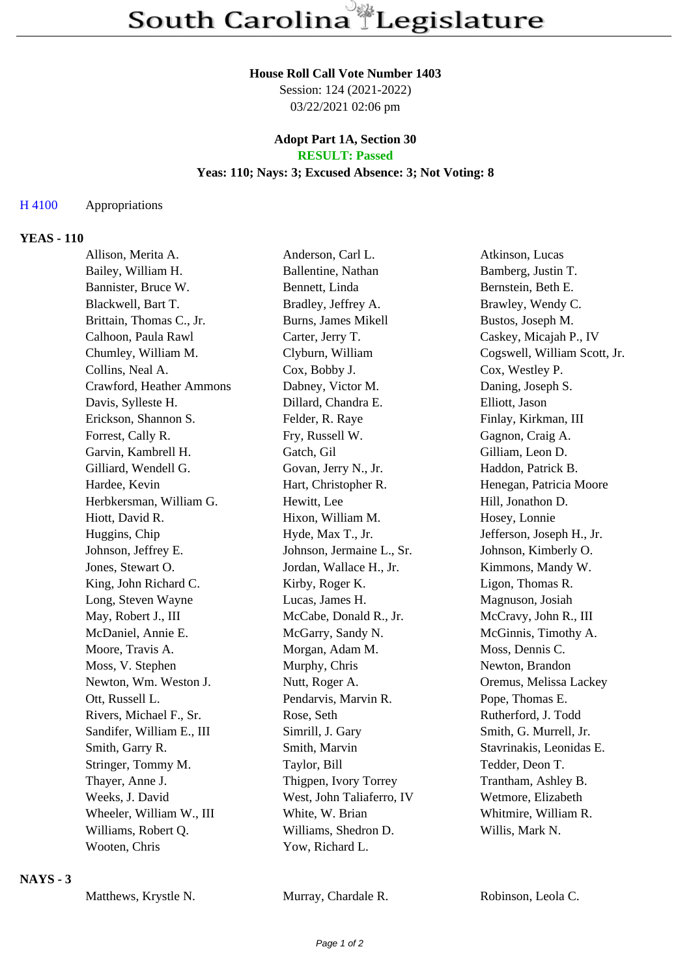#### **House Roll Call Vote Number 1403**

Session: 124 (2021-2022) 03/22/2021 02:06 pm

#### **Adopt Part 1A, Section 30 RESULT: Passed**

#### **Yeas: 110; Nays: 3; Excused Absence: 3; Not Voting: 8**

## H 4100 Appropriations

### **YEAS - 110**

| Allison, Merita A.        | Anderson, Carl L.          | Atkinson, Lucas              |
|---------------------------|----------------------------|------------------------------|
| Bailey, William H.        | Ballentine, Nathan         | Bamberg, Justin T.           |
| Bannister, Bruce W.       | Bennett, Linda             | Bernstein, Beth E.           |
| Blackwell, Bart T.        | Bradley, Jeffrey A.        | Brawley, Wendy C.            |
| Brittain, Thomas C., Jr.  | <b>Burns, James Mikell</b> | Bustos, Joseph M.            |
| Calhoon, Paula Rawl       | Carter, Jerry T.           | Caskey, Micajah P., IV       |
| Chumley, William M.       | Clyburn, William           | Cogswell, William Scott, Jr. |
| Collins, Neal A.          | Cox, Bobby J.              | Cox, Westley P.              |
| Crawford, Heather Ammons  | Dabney, Victor M.          | Daning, Joseph S.            |
| Davis, Sylleste H.        | Dillard, Chandra E.        | Elliott, Jason               |
| Erickson, Shannon S.      | Felder, R. Raye            | Finlay, Kirkman, III         |
| Forrest, Cally R.         | Fry, Russell W.            | Gagnon, Craig A.             |
| Garvin, Kambrell H.       | Gatch, Gil                 | Gilliam, Leon D.             |
| Gilliard, Wendell G.      | Govan, Jerry N., Jr.       | Haddon, Patrick B.           |
| Hardee, Kevin             | Hart, Christopher R.       | Henegan, Patricia Moore      |
| Herbkersman, William G.   | Hewitt, Lee                | Hill, Jonathon D.            |
| Hiott, David R.           | Hixon, William M.          | Hosey, Lonnie                |
| Huggins, Chip             | Hyde, Max T., Jr.          | Jefferson, Joseph H., Jr.    |
| Johnson, Jeffrey E.       | Johnson, Jermaine L., Sr.  | Johnson, Kimberly O.         |
| Jones, Stewart O.         | Jordan, Wallace H., Jr.    | Kimmons, Mandy W.            |
| King, John Richard C.     | Kirby, Roger K.            | Ligon, Thomas R.             |
| Long, Steven Wayne        | Lucas, James H.            | Magnuson, Josiah             |
| May, Robert J., III       | McCabe, Donald R., Jr.     | McCravy, John R., III        |
| McDaniel, Annie E.        | McGarry, Sandy N.          | McGinnis, Timothy A.         |
| Moore, Travis A.          | Morgan, Adam M.            | Moss, Dennis C.              |
| Moss, V. Stephen          | Murphy, Chris              | Newton, Brandon              |
| Newton, Wm. Weston J.     | Nutt, Roger A.             | Oremus, Melissa Lackey       |
| Ott, Russell L.           | Pendarvis, Marvin R.       | Pope, Thomas E.              |
| Rivers, Michael F., Sr.   | Rose, Seth                 | Rutherford, J. Todd          |
| Sandifer, William E., III | Simrill, J. Gary           | Smith, G. Murrell, Jr.       |
| Smith, Garry R.           | Smith, Marvin              | Stavrinakis, Leonidas E.     |
| Stringer, Tommy M.        | Taylor, Bill               | Tedder, Deon T.              |
| Thayer, Anne J.           | Thigpen, Ivory Torrey      | Trantham, Ashley B.          |
| Weeks, J. David           | West, John Taliaferro, IV  | Wetmore, Elizabeth           |
| Wheeler, William W., III  | White, W. Brian            | Whitmire, William R.         |
| Williams, Robert Q.       | Williams, Shedron D.       | Willis, Mark N.              |
| Wooten, Chris             | Yow, Richard L.            |                              |
|                           |                            |                              |

### **NAYS - 3**

Murray, Chardale R. Robinson, Leola C.